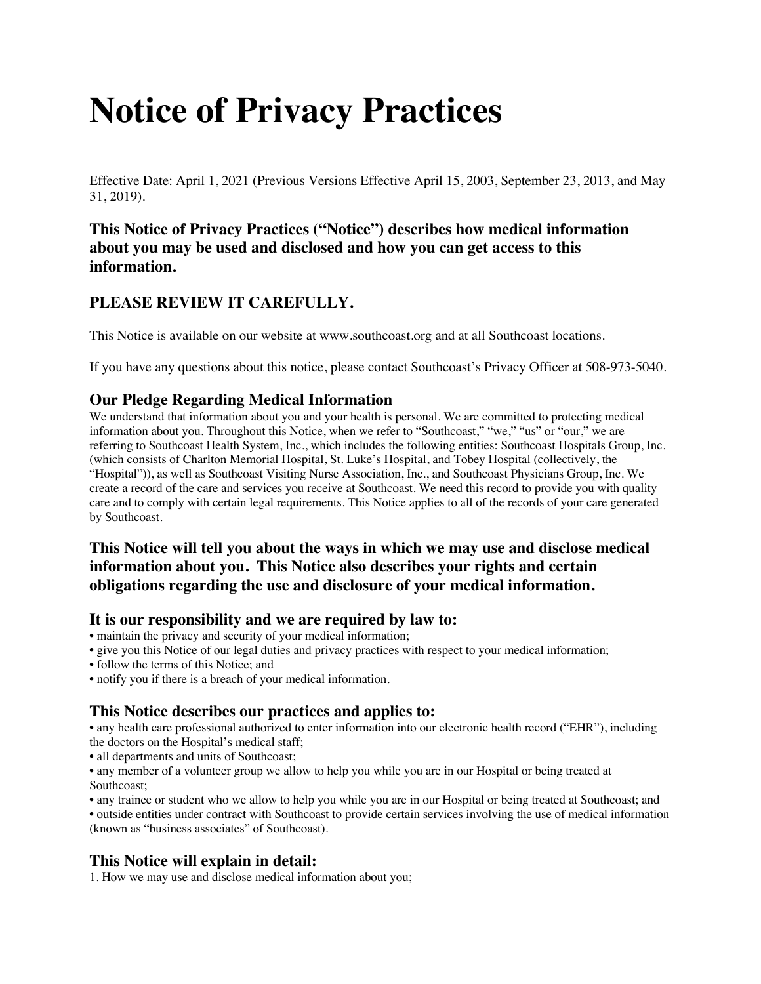# **Notice of Privacy Practices**

Effective Date: April 1, 2021 (Previous Versions Effective April 15, 2003, September 23, 2013, and May 31, 2019).

# **This Notice of Privacy Practices ("Notice") describes how medical information about you may be used and disclosed and how you can get access to this information.**

# **PLEASE REVIEW IT CAREFULLY.**

This Notice is available on our website at www.southcoast.org and at all Southcoast locations.

If you have any questions about this notice, please contact Southcoast's Privacy Officer at 508-973-5040.

## **Our Pledge Regarding Medical Information**

We understand that information about you and your health is personal. We are committed to protecting medical information about you. Throughout this Notice, when we refer to "Southcoast," "we," "us" or "our," we are referring to Southcoast Health System, Inc., which includes the following entities: Southcoast Hospitals Group, Inc. (which consists of Charlton Memorial Hospital, St. Luke's Hospital, and Tobey Hospital (collectively, the "Hospital")), as well as Southcoast Visiting Nurse Association, Inc., and Southcoast Physicians Group, Inc. We create a record of the care and services you receive at Southcoast. We need this record to provide you with quality care and to comply with certain legal requirements. This Notice applies to all of the records of your care generated by Southcoast.

# **This Notice will tell you about the ways in which we may use and disclose medical information about you. This Notice also describes your rights and certain obligations regarding the use and disclosure of your medical information.**

### **It is our responsibility and we are required by law to:**

- maintain the privacy and security of your medical information;
- give you this Notice of our legal duties and privacy practices with respect to your medical information;
- follow the terms of this Notice; and
- notify you if there is a breach of your medical information.

## **This Notice describes our practices and applies to:**

• any health care professional authorized to enter information into our electronic health record ("EHR"), including the doctors on the Hospital's medical staff;

• all departments and units of Southcoast;

• any member of a volunteer group we allow to help you while you are in our Hospital or being treated at Southcoast;

• any trainee or student who we allow to help you while you are in our Hospital or being treated at Southcoast; and

• outside entities under contract with Southcoast to provide certain services involving the use of medical information (known as "business associates" of Southcoast).

## **This Notice will explain in detail:**

1. How we may use and disclose medical information about you;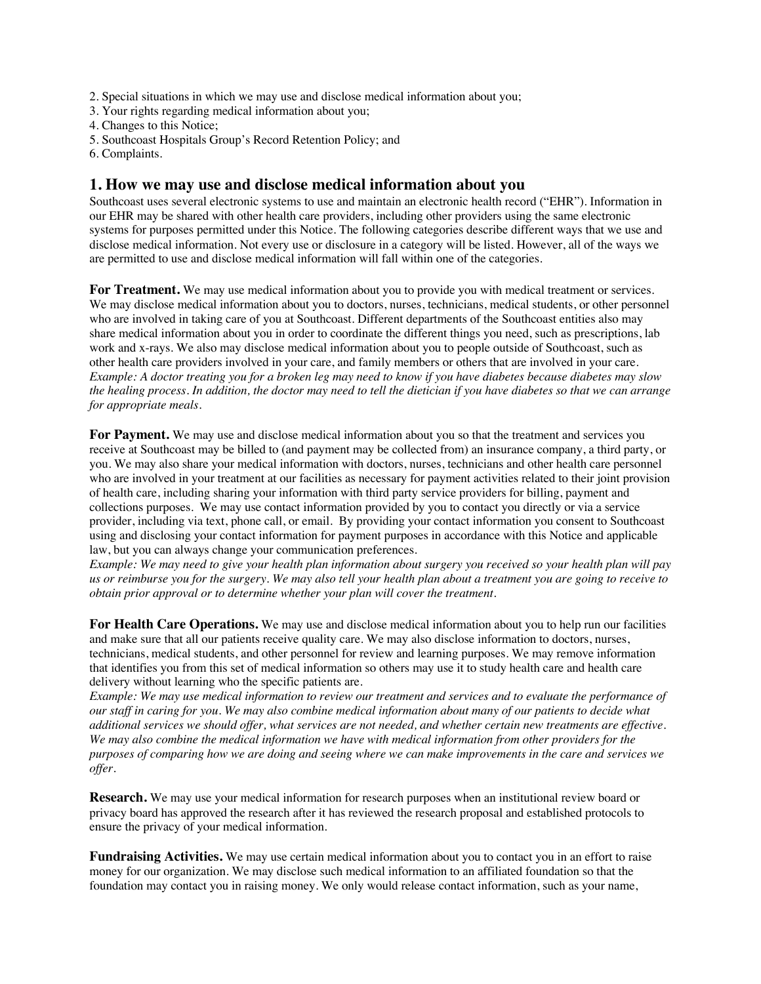2. Special situations in which we may use and disclose medical information about you;

- 3. Your rights regarding medical information about you;
- 4. Changes to this Notice;
- 5. Southcoast Hospitals Group's Record Retention Policy; and
- 6. Complaints.

#### **1. How we may use and disclose medical information about you**

Southcoast uses several electronic systems to use and maintain an electronic health record ("EHR"). Information in our EHR may be shared with other health care providers, including other providers using the same electronic systems for purposes permitted under this Notice. The following categories describe different ways that we use and disclose medical information. Not every use or disclosure in a category will be listed. However, all of the ways we are permitted to use and disclose medical information will fall within one of the categories.

**For Treatment.** We may use medical information about you to provide you with medical treatment or services. We may disclose medical information about you to doctors, nurses, technicians, medical students, or other personnel who are involved in taking care of you at Southcoast. Different departments of the Southcoast entities also may share medical information about you in order to coordinate the different things you need, such as prescriptions, lab work and x-rays. We also may disclose medical information about you to people outside of Southcoast, such as other health care providers involved in your care, and family members or others that are involved in your care. *Example: A doctor treating you for a broken leg may need to know if you have diabetes because diabetes may slow the healing process. In addition, the doctor may need to tell the dietician if you have diabetes so that we can arrange for appropriate meals.*

**For Payment.** We may use and disclose medical information about you so that the treatment and services you receive at Southcoast may be billed to (and payment may be collected from) an insurance company, a third party, or you. We may also share your medical information with doctors, nurses, technicians and other health care personnel who are involved in your treatment at our facilities as necessary for payment activities related to their joint provision of health care, including sharing your information with third party service providers for billing, payment and collections purposes. We may use contact information provided by you to contact you directly or via a service provider, including via text, phone call, or email. By providing your contact information you consent to Southcoast using and disclosing your contact information for payment purposes in accordance with this Notice and applicable law, but you can always change your communication preferences.

*Example: We may need to give your health plan information about surgery you received so your health plan will pay us or reimburse you for the surgery. We may also tell your health plan about a treatment you are going to receive to obtain prior approval or to determine whether your plan will cover the treatment.*

**For Health Care Operations.** We may use and disclose medical information about you to help run our facilities and make sure that all our patients receive quality care. We may also disclose information to doctors, nurses, technicians, medical students, and other personnel for review and learning purposes. We may remove information that identifies you from this set of medical information so others may use it to study health care and health care delivery without learning who the specific patients are.

*Example: We may use medical information to review our treatment and services and to evaluate the performance of our staff in caring for you. We may also combine medical information about many of our patients to decide what additional services we should offer, what services are not needed, and whether certain new treatments are effective. We may also combine the medical information we have with medical information from other providers for the purposes of comparing how we are doing and seeing where we can make improvements in the care and services we offer.*

**Research.** We may use your medical information for research purposes when an institutional review board or privacy board has approved the research after it has reviewed the research proposal and established protocols to ensure the privacy of your medical information.

**Fundraising Activities.** We may use certain medical information about you to contact you in an effort to raise money for our organization. We may disclose such medical information to an affiliated foundation so that the foundation may contact you in raising money. We only would release contact information, such as your name,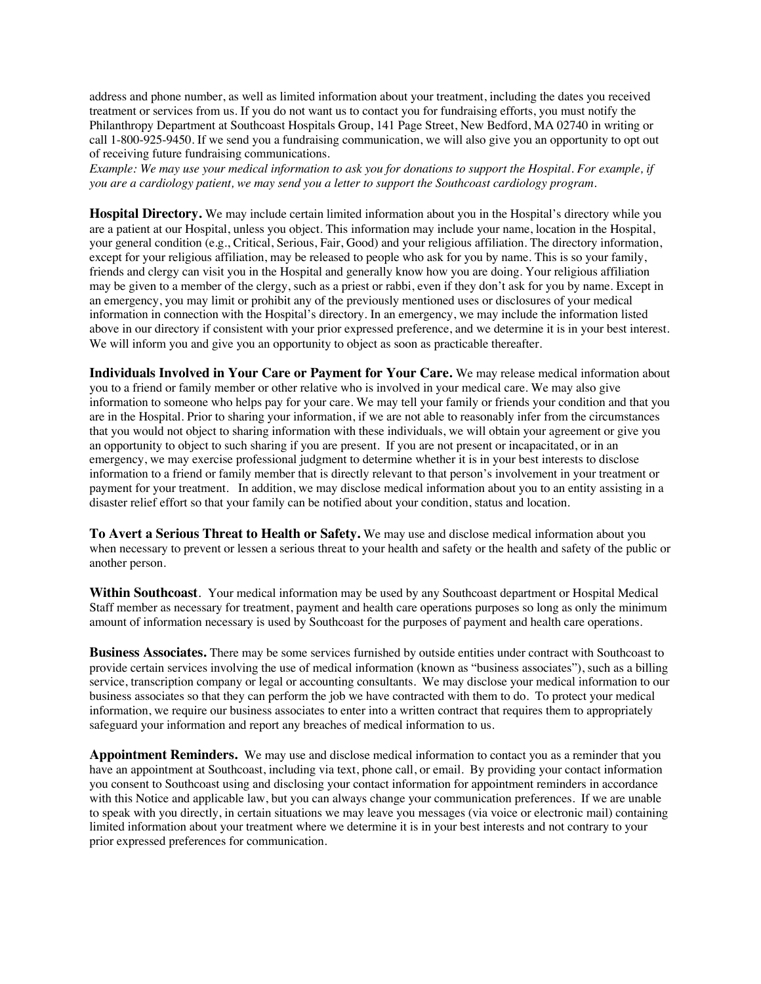address and phone number, as well as limited information about your treatment, including the dates you received treatment or services from us. If you do not want us to contact you for fundraising efforts, you must notify the Philanthropy Department at Southcoast Hospitals Group, 141 Page Street, New Bedford, MA 02740 in writing or call 1-800-925-9450. If we send you a fundraising communication, we will also give you an opportunity to opt out of receiving future fundraising communications.

*Example: We may use your medical information to ask you for donations to support the Hospital. For example, if you are a cardiology patient, we may send you a letter to support the Southcoast cardiology program.*

**Hospital Directory.** We may include certain limited information about you in the Hospital's directory while you are a patient at our Hospital, unless you object. This information may include your name, location in the Hospital, your general condition (e.g., Critical, Serious, Fair, Good) and your religious affiliation. The directory information, except for your religious affiliation, may be released to people who ask for you by name. This is so your family, friends and clergy can visit you in the Hospital and generally know how you are doing. Your religious affiliation may be given to a member of the clergy, such as a priest or rabbi, even if they don't ask for you by name. Except in an emergency, you may limit or prohibit any of the previously mentioned uses or disclosures of your medical information in connection with the Hospital's directory. In an emergency, we may include the information listed above in our directory if consistent with your prior expressed preference, and we determine it is in your best interest. We will inform you and give you an opportunity to object as soon as practicable thereafter.

**Individuals Involved in Your Care or Payment for Your Care.** We may release medical information about you to a friend or family member or other relative who is involved in your medical care. We may also give information to someone who helps pay for your care. We may tell your family or friends your condition and that you are in the Hospital. Prior to sharing your information, if we are not able to reasonably infer from the circumstances that you would not object to sharing information with these individuals, we will obtain your agreement or give you an opportunity to object to such sharing if you are present. If you are not present or incapacitated, or in an emergency, we may exercise professional judgment to determine whether it is in your best interests to disclose information to a friend or family member that is directly relevant to that person's involvement in your treatment or payment for your treatment. In addition, we may disclose medical information about you to an entity assisting in a disaster relief effort so that your family can be notified about your condition, status and location.

**To Avert a Serious Threat to Health or Safety.** We may use and disclose medical information about you when necessary to prevent or lessen a serious threat to your health and safety or the health and safety of the public or another person.

**Within Southcoast**. Your medical information may be used by any Southcoast department or Hospital Medical Staff member as necessary for treatment, payment and health care operations purposes so long as only the minimum amount of information necessary is used by Southcoast for the purposes of payment and health care operations.

**Business Associates.** There may be some services furnished by outside entities under contract with Southcoast to provide certain services involving the use of medical information (known as "business associates"), such as a billing service, transcription company or legal or accounting consultants. We may disclose your medical information to our business associates so that they can perform the job we have contracted with them to do. To protect your medical information, we require our business associates to enter into a written contract that requires them to appropriately safeguard your information and report any breaches of medical information to us.

Appointment Reminders. We may use and disclose medical information to contact you as a reminder that you have an appointment at Southcoast, including via text, phone call, or email. By providing your contact information you consent to Southcoast using and disclosing your contact information for appointment reminders in accordance with this Notice and applicable law, but you can always change your communication preferences. If we are unable to speak with you directly, in certain situations we may leave you messages (via voice or electronic mail) containing limited information about your treatment where we determine it is in your best interests and not contrary to your prior expressed preferences for communication.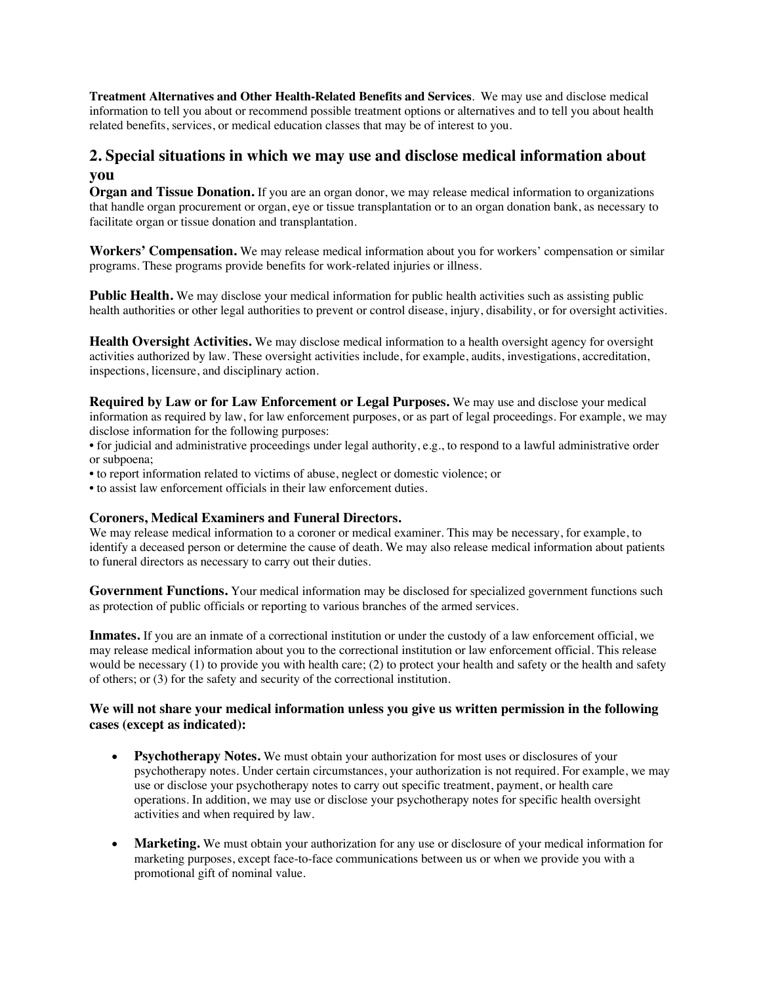**Treatment Alternatives and Other Health-Related Benefits and Services**.We may use and disclose medical information to tell you about or recommend possible treatment options or alternatives and to tell you about health related benefits, services, or medical education classes that may be of interest to you.

## **2. Special situations in which we may use and disclose medical information about you**

**Organ and Tissue Donation.** If you are an organ donor, we may release medical information to organizations that handle organ procurement or organ, eye or tissue transplantation or to an organ donation bank, as necessary to facilitate organ or tissue donation and transplantation.

**Workers' Compensation.** We may release medical information about you for workers' compensation or similar programs. These programs provide benefits for work-related injuries or illness.

**Public Health.** We may disclose your medical information for public health activities such as assisting public health authorities or other legal authorities to prevent or control disease, injury, disability, or for oversight activities.

**Health Oversight Activities.** We may disclose medical information to a health oversight agency for oversight activities authorized by law. These oversight activities include, for example, audits, investigations, accreditation, inspections, licensure, and disciplinary action.

**Required by Law or for Law Enforcement or Legal Purposes.** We may use and disclose your medical information as required by law, for law enforcement purposes, or as part of legal proceedings. For example, we may disclose information for the following purposes:

• for judicial and administrative proceedings under legal authority, e.g., to respond to a lawful administrative order or subpoena;

- to report information related to victims of abuse, neglect or domestic violence; or
- to assist law enforcement officials in their law enforcement duties.

#### **Coroners, Medical Examiners and Funeral Directors.**

We may release medical information to a coroner or medical examiner. This may be necessary, for example, to identify a deceased person or determine the cause of death. We may also release medical information about patients to funeral directors as necessary to carry out their duties.

**Government Functions.** Your medical information may be disclosed for specialized government functions such as protection of public officials or reporting to various branches of the armed services.

**Inmates.** If you are an inmate of a correctional institution or under the custody of a law enforcement official, we may release medical information about you to the correctional institution or law enforcement official. This release would be necessary (1) to provide you with health care; (2) to protect your health and safety or the health and safety of others; or (3) for the safety and security of the correctional institution.

#### **We will not share your medical information unless you give us written permission in the following cases (except as indicated):**

- **Psychotherapy Notes.** We must obtain your authorization for most uses or disclosures of your psychotherapy notes. Under certain circumstances, your authorization is not required. For example, we may use or disclose your psychotherapy notes to carry out specific treatment, payment, or health care operations. In addition, we may use or disclose your psychotherapy notes for specific health oversight activities and when required by law.
- **Marketing.** We must obtain your authorization for any use or disclosure of your medical information for marketing purposes, except face-to-face communications between us or when we provide you with a promotional gift of nominal value.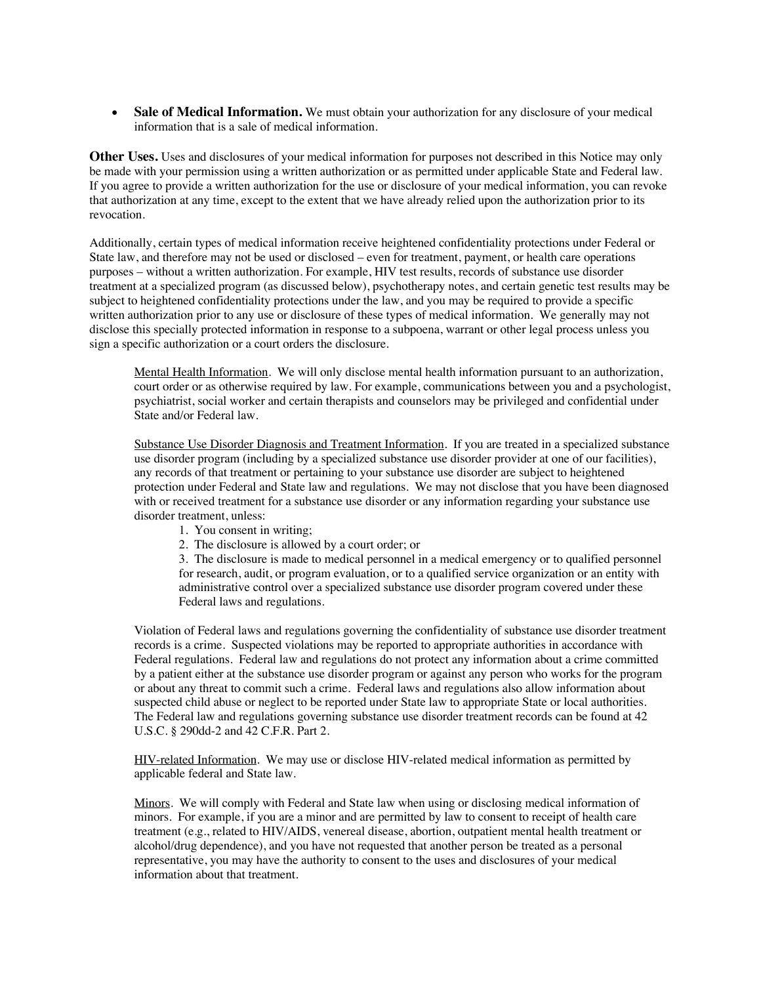• **Sale of Medical Information.** We must obtain your authorization for any disclosure of your medical information that is a sale of medical information.

**Other Uses.** Uses and disclosures of your medical information for purposes not described in this Notice may only be made with your permission using a written authorization or as permitted under applicable State and Federal law. If you agree to provide a written authorization for the use or disclosure of your medical information, you can revoke that authorization at any time, except to the extent that we have already relied upon the authorization prior to its revocation.

Additionally, certain types of medical information receive heightened confidentiality protections under Federal or State law, and therefore may not be used or disclosed – even for treatment, payment, or health care operations purposes – without a written authorization. For example, HIV test results, records of substance use disorder treatment at a specialized program (as discussed below), psychotherapy notes, and certain genetic test results may be subject to heightened confidentiality protections under the law, and you may be required to provide a specific written authorization prior to any use or disclosure of these types of medical information. We generally may not disclose this specially protected information in response to a subpoena, warrant or other legal process unless you sign a specific authorization or a court orders the disclosure.

Mental Health Information. We will only disclose mental health information pursuant to an authorization, court order or as otherwise required by law. For example, communications between you and a psychologist, psychiatrist, social worker and certain therapists and counselors may be privileged and confidential under State and/or Federal law.

Substance Use Disorder Diagnosis and Treatment Information. If you are treated in a specialized substance use disorder program (including by a specialized substance use disorder provider at one of our facilities), any records of that treatment or pertaining to your substance use disorder are subject to heightened protection under Federal and State law and regulations. We may not disclose that you have been diagnosed with or received treatment for a substance use disorder or any information regarding your substance use disorder treatment, unless:

- 1. You consent in writing;
- 2. The disclosure is allowed by a court order; or

3. The disclosure is made to medical personnel in a medical emergency or to qualified personnel for research, audit, or program evaluation, or to a qualified service organization or an entity with administrative control over a specialized substance use disorder program covered under these Federal laws and regulations.

Violation of Federal laws and regulations governing the confidentiality of substance use disorder treatment records is a crime. Suspected violations may be reported to appropriate authorities in accordance with Federal regulations. Federal law and regulations do not protect any information about a crime committed by a patient either at the substance use disorder program or against any person who works for the program or about any threat to commit such a crime. Federal laws and regulations also allow information about suspected child abuse or neglect to be reported under State law to appropriate State or local authorities. The Federal law and regulations governing substance use disorder treatment records can be found at 42 U.S.C. § 290dd-2 and 42 C.F.R. Part 2.

HIV-related Information. We may use or disclose HIV-related medical information as permitted by applicable federal and State law.

Minors. We will comply with Federal and State law when using or disclosing medical information of minors. For example, if you are a minor and are permitted by law to consent to receipt of health care treatment (e.g., related to HIV/AIDS, venereal disease, abortion, outpatient mental health treatment or alcohol/drug dependence), and you have not requested that another person be treated as a personal representative, you may have the authority to consent to the uses and disclosures of your medical information about that treatment.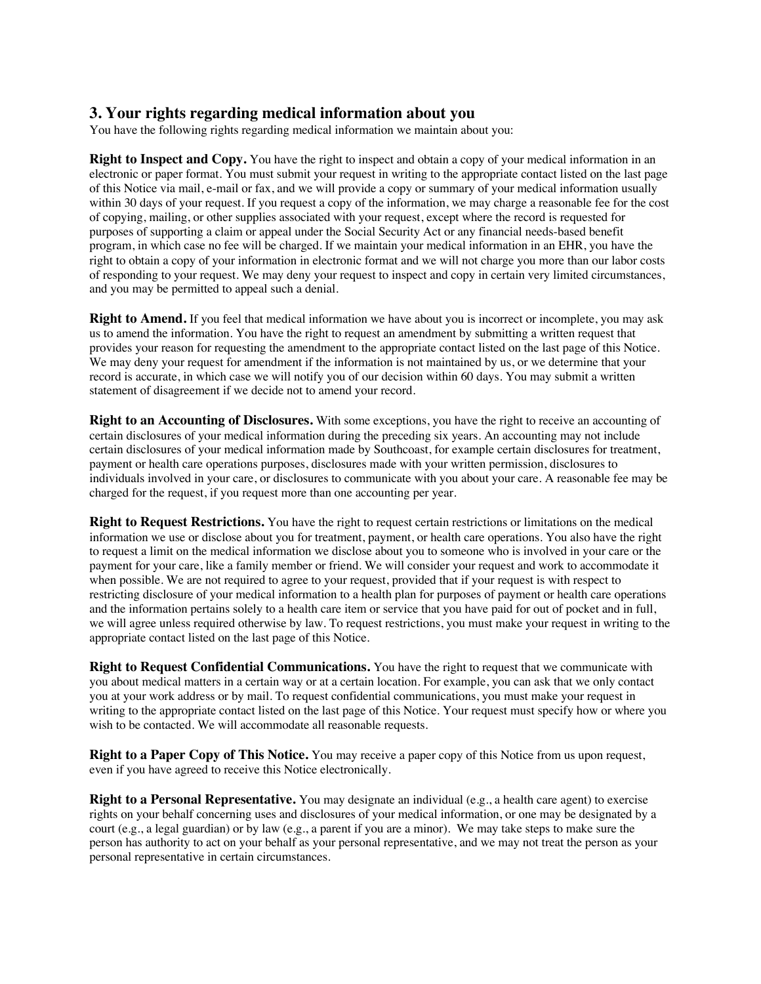## **3. Your rights regarding medical information about you**

You have the following rights regarding medical information we maintain about you:

**Right to Inspect and Copy.** You have the right to inspect and obtain a copy of your medical information in an electronic or paper format. You must submit your request in writing to the appropriate contact listed on the last page of this Notice via mail, e-mail or fax, and we will provide a copy or summary of your medical information usually within 30 days of your request. If you request a copy of the information, we may charge a reasonable fee for the cost of copying, mailing, or other supplies associated with your request, except where the record is requested for purposes of supporting a claim or appeal under the Social Security Act or any financial needs-based benefit program, in which case no fee will be charged. If we maintain your medical information in an EHR, you have the right to obtain a copy of your information in electronic format and we will not charge you more than our labor costs of responding to your request. We may deny your request to inspect and copy in certain very limited circumstances, and you may be permitted to appeal such a denial.

**Right to Amend.** If you feel that medical information we have about you is incorrect or incomplete, you may ask us to amend the information. You have the right to request an amendment by submitting a written request that provides your reason for requesting the amendment to the appropriate contact listed on the last page of this Notice. We may deny your request for amendment if the information is not maintained by us, or we determine that your record is accurate, in which case we will notify you of our decision within 60 days. You may submit a written statement of disagreement if we decide not to amend your record.

**Right to an Accounting of Disclosures.** With some exceptions, you have the right to receive an accounting of certain disclosures of your medical information during the preceding six years. An accounting may not include certain disclosures of your medical information made by Southcoast, for example certain disclosures for treatment, payment or health care operations purposes, disclosures made with your written permission, disclosures to individuals involved in your care, or disclosures to communicate with you about your care. A reasonable fee may be charged for the request, if you request more than one accounting per year.

**Right to Request Restrictions.** You have the right to request certain restrictions or limitations on the medical information we use or disclose about you for treatment, payment, or health care operations. You also have the right to request a limit on the medical information we disclose about you to someone who is involved in your care or the payment for your care, like a family member or friend. We will consider your request and work to accommodate it when possible. We are not required to agree to your request, provided that if your request is with respect to restricting disclosure of your medical information to a health plan for purposes of payment or health care operations and the information pertains solely to a health care item or service that you have paid for out of pocket and in full, we will agree unless required otherwise by law. To request restrictions, you must make your request in writing to the appropriate contact listed on the last page of this Notice.

**Right to Request Confidential Communications.** You have the right to request that we communicate with you about medical matters in a certain way or at a certain location. For example, you can ask that we only contact you at your work address or by mail. To request confidential communications, you must make your request in writing to the appropriate contact listed on the last page of this Notice. Your request must specify how or where you wish to be contacted. We will accommodate all reasonable requests.

**Right to a Paper Copy of This Notice.** You may receive a paper copy of this Notice from us upon request, even if you have agreed to receive this Notice electronically.

**Right to a Personal Representative.** You may designate an individual (e.g., a health care agent) to exercise rights on your behalf concerning uses and disclosures of your medical information, or one may be designated by a court (e.g., a legal guardian) or by law (e.g., a parent if you are a minor). We may take steps to make sure the person has authority to act on your behalf as your personal representative, and we may not treat the person as your personal representative in certain circumstances.